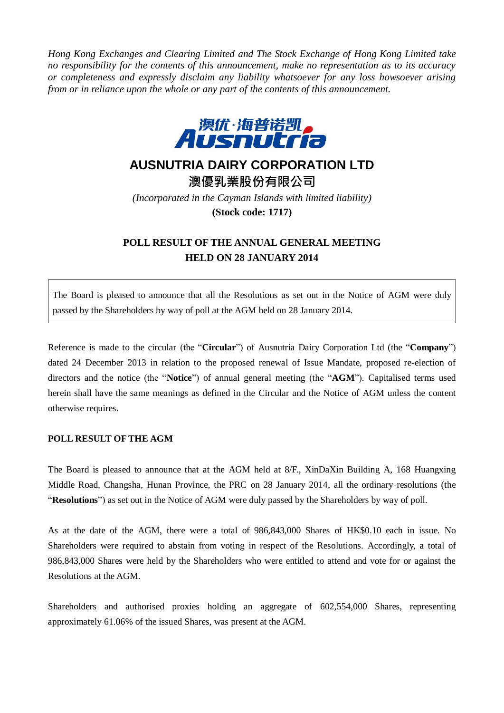*Hong Kong Exchanges and Clearing Limited and The Stock Exchange of Hong Kong Limited take no responsibility for the contents of this announcement, make no representation as to its accuracy or completeness and expressly disclaim any liability whatsoever for any loss howsoever arising from or in reliance upon the whole or any part of the contents of this announcement.*



## **AUSNUTRIA DAIRY CORPORATION LTD**

**澳優乳業股份有限公司** *(Incorporated in the Cayman Islands with limited liability)* **(Stock code: 1717)**

## **POLL RESULT OF THE ANNUAL GENERAL MEETING HELD ON 28 JANUARY 2014**

The Board is pleased to announce that all the Resolutions as set out in the Notice of AGM were duly passed by the Shareholders by way of poll at the AGM held on 28 January 2014.

Reference is made to the circular (the "**Circular**") of Ausnutria Dairy Corporation Ltd (the "**Company**") dated 24 December 2013 in relation to the proposed renewal of Issue Mandate, proposed re-election of directors and the notice (the "**Notice**") of annual general meeting (the "**AGM**"). Capitalised terms used herein shall have the same meanings as defined in the Circular and the Notice of AGM unless the content otherwise requires.

## **POLL RESULT OF THE AGM**

The Board is pleased to announce that at the AGM held at 8/F., XinDaXin Building A, 168 Huangxing Middle Road, Changsha, Hunan Province, the PRC on 28 January 2014, all the ordinary resolutions (the "**Resolutions**") as set out in the Notice of AGM were duly passed by the Shareholders by way of poll.

As at the date of the AGM, there were a total of 986,843,000 Shares of HK\$0.10 each in issue. No Shareholders were required to abstain from voting in respect of the Resolutions. Accordingly, a total of 986,843,000 Shares were held by the Shareholders who were entitled to attend and vote for or against the Resolutions at the AGM.

Shareholders and authorised proxies holding an aggregate of 602,554,000 Shares, representing approximately 61.06% of the issued Shares, was present at the AGM.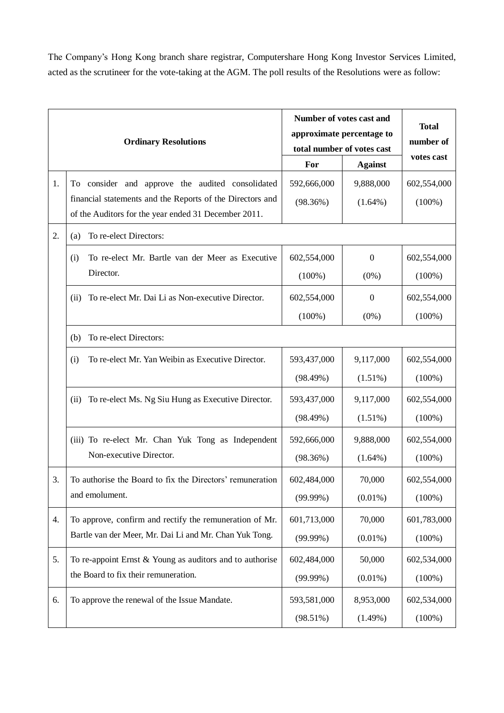The Company's Hong Kong branch share registrar, Computershare Hong Kong Investor Services Limited, acted as the scrutineer for the vote-taking at the AGM. The poll results of the Resolutions were as follow:

| <b>Ordinary Resolutions</b> |                                                                                                                   | Number of votes cast and<br>approximate percentage to<br>total number of votes cast |                  | <b>Total</b><br>number of<br>votes cast |
|-----------------------------|-------------------------------------------------------------------------------------------------------------------|-------------------------------------------------------------------------------------|------------------|-----------------------------------------|
|                             |                                                                                                                   | For                                                                                 | <b>Against</b>   |                                         |
| 1.                          | To consider and approve the audited consolidated                                                                  | 592,666,000                                                                         | 9,888,000        | 602,554,000                             |
|                             | financial statements and the Reports of the Directors and<br>of the Auditors for the year ended 31 December 2011. | (98.36%)                                                                            | $(1.64\%)$       | $(100\%)$                               |
| 2.                          | To re-elect Directors:<br>(a)                                                                                     |                                                                                     |                  |                                         |
|                             | To re-elect Mr. Bartle van der Meer as Executive<br>(i)                                                           | 602,554,000                                                                         | $\boldsymbol{0}$ | 602,554,000                             |
|                             | Director.                                                                                                         | $(100\%)$                                                                           | $(0\%)$          | $(100\%)$                               |
|                             | To re-elect Mr. Dai Li as Non-executive Director.<br>(ii)                                                         | 602,554,000                                                                         | $\boldsymbol{0}$ | 602,554,000                             |
|                             |                                                                                                                   | $(100\%)$                                                                           | $(0\%)$          | $(100\%)$                               |
|                             | To re-elect Directors:<br>(b)                                                                                     |                                                                                     |                  |                                         |
|                             | To re-elect Mr. Yan Weibin as Executive Director.<br>(i)                                                          | 593,437,000                                                                         | 9,117,000        | 602,554,000                             |
|                             |                                                                                                                   | (98.49%)                                                                            | $(1.51\%)$       | $(100\%)$                               |
|                             | To re-elect Ms. Ng Siu Hung as Executive Director.<br>(ii)                                                        | 593,437,000                                                                         | 9,117,000        | 602,554,000                             |
|                             |                                                                                                                   | (98.49%)                                                                            | $(1.51\%)$       | $(100\%)$                               |
|                             | (iii) To re-elect Mr. Chan Yuk Tong as Independent                                                                | 592,666,000                                                                         | 9,888,000        | 602,554,000                             |
|                             | Non-executive Director.                                                                                           | (98.36%)                                                                            | $(1.64\%)$       | $(100\%)$                               |
| 3.                          | To authorise the Board to fix the Directors' remuneration                                                         | 602,484,000                                                                         | 70,000           | 602,554,000                             |
|                             | and emolument.                                                                                                    | $(99.99\%)$                                                                         | $(0.01\%)$       | $(100\%)$                               |
| 4.                          | To approve, confirm and rectify the remuneration of Mr.<br>Bartle van der Meer, Mr. Dai Li and Mr. Chan Yuk Tong. | 601,713,000                                                                         | 70,000           | 601,783,000                             |
|                             |                                                                                                                   | $(99.99\%)$                                                                         | $(0.01\%)$       | $(100\%)$                               |
| 5.                          | To re-appoint Ernst $&$ Young as auditors and to authorise                                                        | 602,484,000                                                                         | 50,000           | 602,534,000                             |
|                             | the Board to fix their remuneration.                                                                              | $(99.99\%)$                                                                         | $(0.01\%)$       | $(100\%)$                               |
| 6.                          | To approve the renewal of the Issue Mandate.                                                                      | 593,581,000                                                                         | 8,953,000        | 602,534,000                             |
|                             |                                                                                                                   | $(98.51\%)$                                                                         | $(1.49\%)$       | $(100\%)$                               |